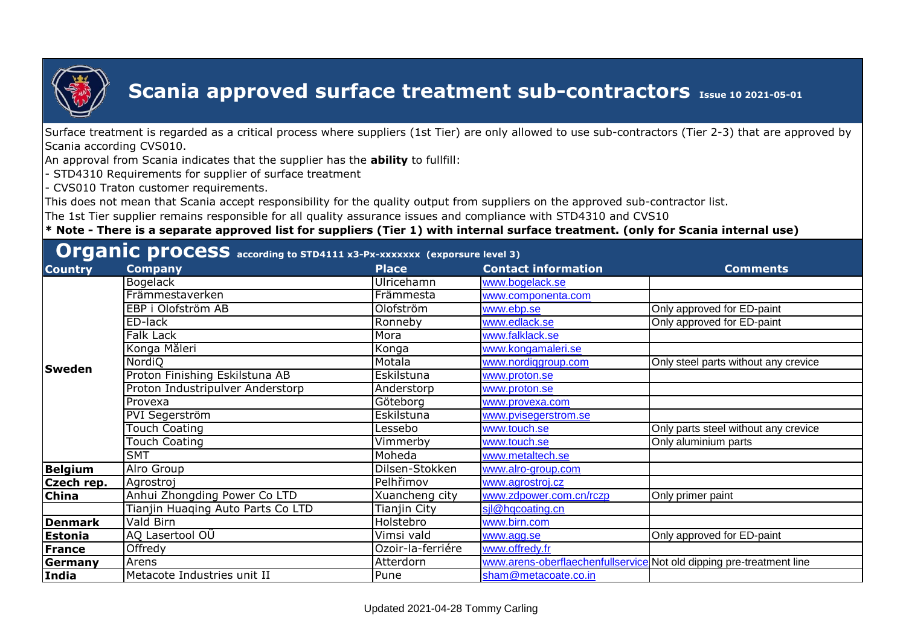

Surface treatment is regarded as a critical process where suppliers (1st Tier) are only allowed to use sub-contractors (Tier 2-3) that are approved by Scania according CVS010.

An approval from Scania indicates that the supplier has the **ability** to fullfill:

- STD4310 Requirements for supplier of surface treatment

- CVS010 Traton customer requirements.

This does not mean that Scania accept responsibility for the quality output from suppliers on the approved sub-contractor list.

The 1st Tier supplier remains responsible for all quality assurance issues and compliance with STD4310 and CVS10

| <b>Organic process</b> according to STD4111 x3-Px-xxxxxxx (exporsure level 3) |  |
|-------------------------------------------------------------------------------|--|
|-------------------------------------------------------------------------------|--|

| <b>Country</b> | <b>Company</b>                    | <b>Place</b>      | <b>Contact information</b>                                           | <b>Comments</b>                      |
|----------------|-----------------------------------|-------------------|----------------------------------------------------------------------|--------------------------------------|
|                | <b>Bogelack</b>                   | Ulricehamn        | www.bogelack.se                                                      |                                      |
|                | Främmestaverken                   | Främmesta         | www.componenta.com                                                   |                                      |
|                | EBP i Olofström AB                | Olofström         | www.ebp.se                                                           | Only approved for ED-paint           |
|                | ED-lack                           | Ronneby           | www.edlack.se                                                        | Only approved for ED-paint           |
|                | Falk Lack                         | Mora              | www.falklack.se                                                      |                                      |
|                | Konga Måleri                      | Konga             | www.kongamaleri.se                                                   |                                      |
| <b>Sweden</b>  | NordiO                            | Motala            | www.nordiggroup.com                                                  | Only steel parts without any crevice |
|                | Proton Finishing Eskilstuna AB    | Eskilstuna        | www.proton.se                                                        |                                      |
|                | Proton Industripulver Anderstorp  | Anderstorp        | www.proton.se                                                        |                                      |
|                | Provexa                           | Göteborg          | www.provexa.com                                                      |                                      |
|                | PVI Segerström                    | Eskilstuna        | www.pvisegerstrom.se                                                 |                                      |
|                | Touch Coating                     | _essebo           | www.touch.se                                                         | Only parts steel without any crevice |
|                | <b>Touch Coating</b>              | Vimmerby          | www.touch.se                                                         | Only aluminium parts                 |
|                | <b>SMT</b>                        | Moheda            | www.metaltech.se                                                     |                                      |
| Belgium        | Alro Group                        | Dilsen-Stokken    | www.alro-group.com                                                   |                                      |
| Czech rep.     | Agrostroj                         | Pelhřimov         | www.agrostroj.cz                                                     |                                      |
| <b>China</b>   | Anhui Zhongding Power Co LTD      | Xuancheng city    | www.zdpower.com.cn/rczp                                              | Only primer paint                    |
|                | Tianjin Huaging Auto Parts Co LTD | Tianjin City      | sjl@hqcoating.cn                                                     |                                      |
| Denmark        | Vald Birn                         | Holstebro         | www.birn.com                                                         |                                      |
| Estonia        | AQ Lasertool OU                   | Vimsi vald        | www.agg.se                                                           | Only approved for ED-paint           |
| France         | Offredy                           | Ozoir-la-ferriére | www.offredy.fr                                                       |                                      |
| Germany        | Arens                             | Atterdorn         | www.arens-oberflaechenfullservice Not old dipping pre-treatment line |                                      |
| India          | Metacote Industries unit II       | Pune              | sham@metacoate.co.in                                                 |                                      |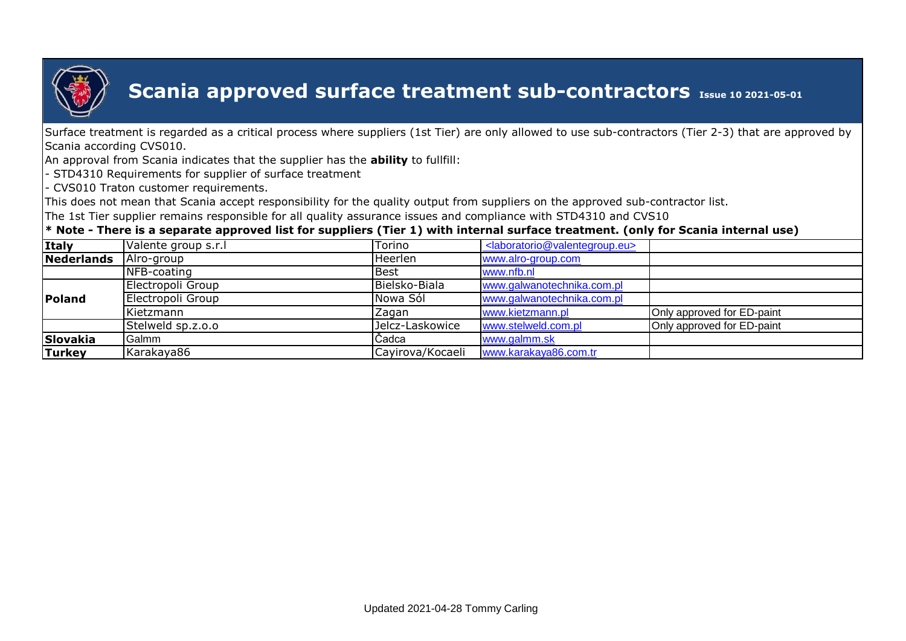

Surface treatment is regarded as a critical process where suppliers (1st Tier) are only allowed to use sub-contractors (Tier 2-3) that are approved by Scania according CVS010.

An approval from Scania indicates that the supplier has the **ability** to fullfill:

- STD4310 Requirements for supplier of surface treatment

- CVS010 Traton customer requirements.

This does not mean that Scania accept responsibility for the quality output from suppliers on the approved sub-contractor list.

The 1st Tier supplier remains responsible for all quality assurance issues and compliance with STD4310 and CVS10

| <b>Italy</b>  | Valente group s.r.l | Torino           | <laboratorio@valentegroup.eu></laboratorio@valentegroup.eu> |                            |
|---------------|---------------------|------------------|-------------------------------------------------------------|----------------------------|
| Nederlands    | Alro-group          | Heerlen          | www.alro-group.com                                          |                            |
|               | NFB-coating         | Best             | www.nfb.nl                                                  |                            |
|               | Electropoli Group   | Bielsko-Biala    | www.galwanotechnika.com.pl                                  |                            |
| Poland        | Electropoli Group   | Nowa Sól         | www.galwanotechnika.com.pl                                  |                            |
|               | Kietzmann           | Zagan            | www.kietzmann.pl                                            | Only approved for ED-paint |
|               | Stelweld sp.z.o.o   | Jelcz-Laskowice  | www.stelweld.com.pl                                         | Only approved for ED-paint |
| Slovakia      | Galmm               | Cadca            | www.galmm.sk                                                |                            |
| <b>Turkey</b> | Karakaya86          | Cayirova/Kocaeli | www.karakaya86.com.tr                                       |                            |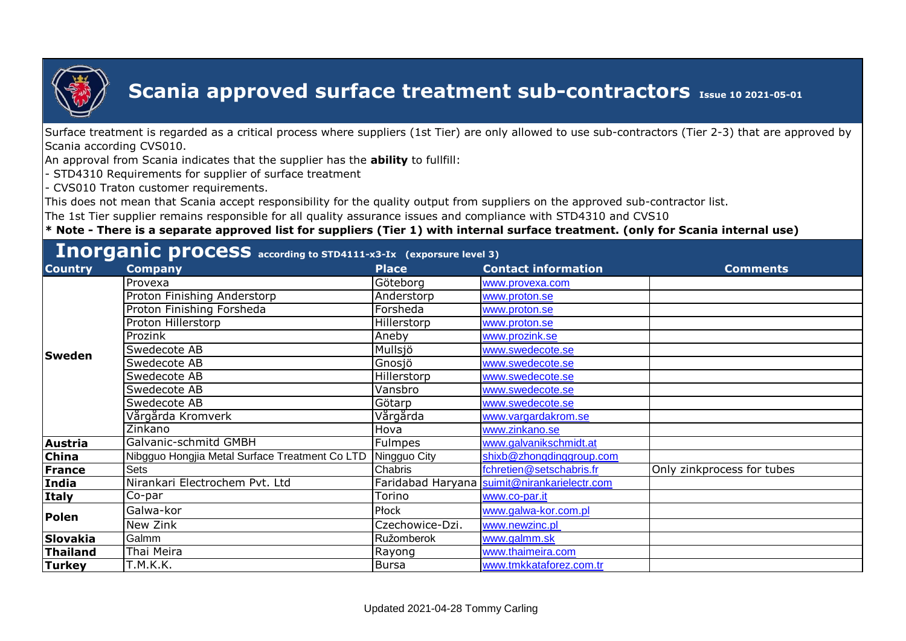

Surface treatment is regarded as a critical process where suppliers (1st Tier) are only allowed to use sub-contractors (Tier 2-3) that are approved by Scania according CVS010.

An approval from Scania indicates that the supplier has the **ability** to fullfill:

- STD4310 Requirements for supplier of surface treatment

- CVS010 Traton customer requirements.

This does not mean that Scania accept responsibility for the quality output from suppliers on the approved sub-contractor list.

The 1st Tier supplier remains responsible for all quality assurance issues and compliance with STD4310 and CVS10

| <b>Country</b> | المتناقصة والمتعاقلات والمتواطئ والمتواطئ والمتواطئ والمتواطئ والمتواطئ والمتنافذ والمتواطئ والمتواطئ والمتواطئ<br><b>Company</b> | <b>Place</b>    | <b>Contact information</b>                   | <b>Comments</b>            |
|----------------|-----------------------------------------------------------------------------------------------------------------------------------|-----------------|----------------------------------------------|----------------------------|
| <b>Sweden</b>  | Provexa                                                                                                                           | Göteborg        | www.provexa.com                              |                            |
|                | Proton Finishing Anderstorp                                                                                                       | Anderstorp      | www.proton.se                                |                            |
|                | Proton Finishing Forsheda                                                                                                         | Forsheda        | www.proton.se                                |                            |
|                | Proton Hillerstorp                                                                                                                | Hillerstorp     | www.proton.se                                |                            |
|                | Prozink                                                                                                                           | Aneby           | www.prozink.se                               |                            |
|                | Swedecote AB                                                                                                                      | Mullsjö         | www.swedecote.se                             |                            |
|                | Swedecote AB                                                                                                                      | Gnosjö          | www.swedecote.se                             |                            |
|                | Swedecote AB                                                                                                                      | Hillerstorp     | www.swedecote.se                             |                            |
|                | Swedecote AB                                                                                                                      | Vansbro         | www.swedecote.se                             |                            |
|                | Swedecote AB                                                                                                                      | Götarp          | www.swedecote.se                             |                            |
|                | Vårgårda Kromverk                                                                                                                 | Vårgårda        | www.vargardakrom.se                          |                            |
|                | Zinkano                                                                                                                           | Hova            | www.zinkano.se                               |                            |
| Austria        | Galvanic-schmitd GMBH                                                                                                             | <b>Fulmpes</b>  | www.galvanikschmidt.at                       |                            |
| <b>China</b>   | Nibgguo Hongjia Metal Surface Treatment Co LTD                                                                                    | Ningguo City    | shixb@zhongdinggroup.com                     |                            |
| France         | Sets                                                                                                                              | Chabris         | fchretien@setschabris.fr                     | Only zinkprocess for tubes |
| <b>India</b>   | Nirankari Electrochem Pvt. Ltd                                                                                                    |                 | Faridabad Haryana suimit@nirankarielectr.com |                            |
| Italy          | Co-par                                                                                                                            | Torino          | www.co-par.it                                |                            |
| Polen          | Galwa-kor                                                                                                                         | Płock           | www.galwa-kor.com.pl                         |                            |
|                | New Zink                                                                                                                          | Czechowice-Dzi. | www.newzinc.pl                               |                            |
| Slovakia       | Galmm                                                                                                                             | Ružomberok      | www.galmm.sk                                 |                            |
| Thailand       | Thai Meira                                                                                                                        | Rayong          | www.thaimeira.com                            |                            |
| <b>Turkey</b>  | T.M.K.K.                                                                                                                          | <b>Bursa</b>    | www.tmkkataforez.com.tr                      |                            |